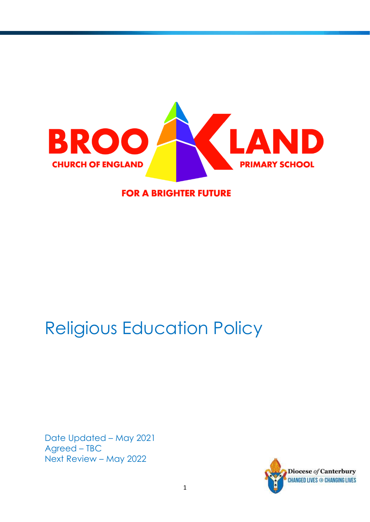

**FOR A BRIGHTER FUTURE** 

# Religious Education Policy

Date Updated – May 2021 Agreed – TBC Next Review – May 2022

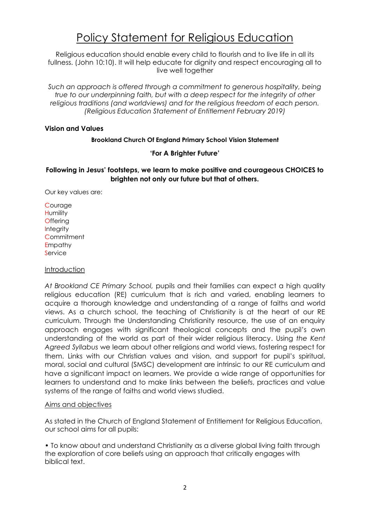## Policy Statement for Religious Education

Religious education should enable every child to flourish and to live life in all its fullness. (John 10:10). It will help educate for dignity and respect encouraging all to live well together

Such an approach is offered through a commitment to generous hospitality, being *true to our underpinning faith, but with a deep respect for the integrity of other religious traditions (and worldviews) and for the religious freedom of each person. (Religious Education Statement of Entitlement February 2019)*

#### **Vision and Values**

#### **Brookland Church Of England Primary School Vision Statement**

#### **'For A Brighter Future'**

#### **Following in Jesus' footsteps, we learn to make positive and courageous CHOICES to brighten not only our future but that of others.**

Our key values are:

**Courage Humility Offering Integrity Commitment Empathy Service** 

#### Introduction

*At Brookland CE Primary School,* pupils and their families can expect a high quality religious education (RE) curriculum that is rich and varied, enabling learners to acquire a thorough knowledge and understanding of a range of faiths and world views. As a church school, the teaching of Christianity is at the heart of our RE curriculum. Through the Understanding Christianity resource, the use of an enquiry approach engages with significant theological concepts and the pupil's own understanding of the world as part of their wider religious literacy. Using *the Kent Agreed Syllabus* we learn about other religions and world views, fostering respect for them. Links with our Christian values and vision, and support for pupil's spiritual, moral, social and cultural (SMSC) development are intrinsic to our RE curriculum and have a significant impact on learners. We provide a wide range of opportunities for learners to understand and to make links between the beliefs, practices and value systems of the range of faiths and world views studied.

#### Aims and objectives

As stated in the Church of England Statement of Entitlement for Religious Education, our school aims for all pupils:

• To know about and understand Christianity as a diverse global living faith through the exploration of core beliefs using an approach that critically engages with biblical text.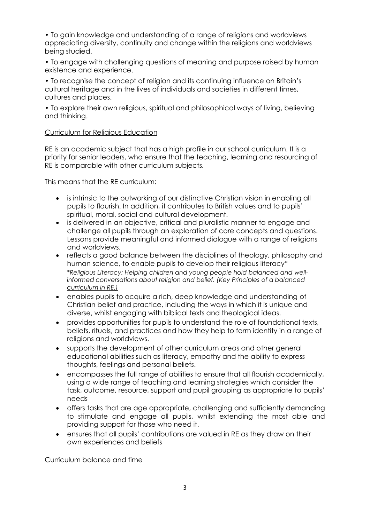• To gain knowledge and understanding of a range of religions and worldviews appreciating diversity, continuity and change within the religions and worldviews being studied.

• To engage with challenging questions of meaning and purpose raised by human existence and experience.

• To recognise the concept of religion and its continuing influence on Britain's cultural heritage and in the lives of individuals and societies in different times, cultures and places.

• To explore their own religious, spiritual and philosophical ways of living, believing and thinking.

#### Curriculum for Religious Education

RE is an academic subject that has a high profile in our school curriculum. It is a priority for senior leaders, who ensure that the teaching, learning and resourcing of RE is comparable with other curriculum subjects.

This means that the RE curriculum:

- is intrinsic to the outworking of our distinctive Christian vision in enabling all pupils to flourish. In addition, it contributes to British values and to pupils' spiritual, moral, social and cultural development.
- is delivered in an objective, critical and pluralistic manner to engage and challenge all pupils through an exploration of core concepts and questions. Lessons provide meaningful and informed dialogue with a range of religions and worldviews.
- reflects a good balance between the disciplines of theology, philosophy and human science, to enable pupils to develop their religious literacy\* *\*Religious Literacy: Helping children and young people hold balanced and wellinformed conversations about religion and belief. [\(Key Principles of a balanced](https://www.churchofengland.org/sites/default/files/2018-03/Key%20principles%20of%20a%20balanced%20curriculum%20in%20RE_0.pdf)  [curriculum in RE.\)](https://www.churchofengland.org/sites/default/files/2018-03/Key%20principles%20of%20a%20balanced%20curriculum%20in%20RE_0.pdf)*
- enables pupils to acquire a rich, deep knowledge and understanding of Christian belief and practice, including the ways in which it is unique and diverse, whilst engaging with biblical texts and theological ideas.
- provides opportunities for pupils to understand the role of foundational texts, beliefs, rituals, and practices and how they help to form identity in a range of religions and worldviews.
- supports the development of other curriculum areas and other general educational abilities such as literacy, empathy and the ability to express thoughts, feelings and personal beliefs.
- encompasses the full range of abilities to ensure that all flourish academically, using a wide range of teaching and learning strategies which consider the task, outcome, resource, support and pupil grouping as appropriate to pupils' needs
- offers tasks that are age appropriate, challenging and sufficiently demanding to stimulate and engage all pupils, whilst extending the most able and providing support for those who need it.
- ensures that all pupils' contributions are valued in RE as they draw on their own experiences and beliefs

Curriculum balance and time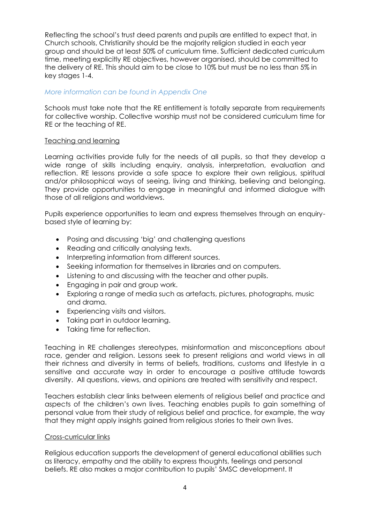Reflecting the school's trust deed parents and pupils are entitled to expect that, in Church schools, Christianity should be the majority religion studied in each year group and should be at least 50% of curriculum time. Sufficient dedicated curriculum time, meeting explicitly RE objectives, however organised, should be committed to the delivery of RE. This should aim to be close to 10% but must be no less than 5% in key stages 1-4.

#### *More information can be found in Appendix One*

Schools must take note that the RE entitlement is totally separate from requirements for collective worship. Collective worship must not be considered curriculum time for RE or the teaching of RE.

#### Teaching and learning

Learning activities provide fully for the needs of all pupils, so that they develop a wide range of skills including enquiry, analysis, interpretation, evaluation and reflection. RE lessons provide a safe space to explore their own religious, spiritual and/or philosophical ways of seeing, living and thinking, believing and belonging. They provide opportunities to engage in meaningful and informed dialogue with those of all religions and worldviews.

Pupils experience opportunities to learn and express themselves through an enquirybased style of learning by:

- Posing and discussing 'big' and challenging questions
- Reading and critically analysing texts.
- Interpreting information from different sources.
- Seeking information for themselves in libraries and on computers.
- Listening to and discussing with the teacher and other pupils.
- Engaging in pair and group work.
- Exploring a range of media such as artefacts, pictures, photographs, music and drama.
- Experiencing visits and visitors.
- Taking part in outdoor learning.
- Taking time for reflection.

Teaching in RE challenges stereotypes, misinformation and misconceptions about race, gender and religion. Lessons seek to present religions and world views in all their richness and diversity in terms of beliefs, traditions, customs and lifestyle in a sensitive and accurate way in order to encourage a positive attitude towards diversity. All questions, views, and opinions are treated with sensitivity and respect.

Teachers establish clear links between elements of religious belief and practice and aspects of the children's own lives. Teaching enables pupils to gain something of personal value from their study of religious belief and practice, for example, the way that they might apply insights gained from religious stories to their own lives.

#### Cross-curricular links

Religious education supports the development of general educational abilities such as literacy, empathy and the ability to express thoughts, feelings and personal beliefs. RE also makes a major contribution to pupils' SMSC development. It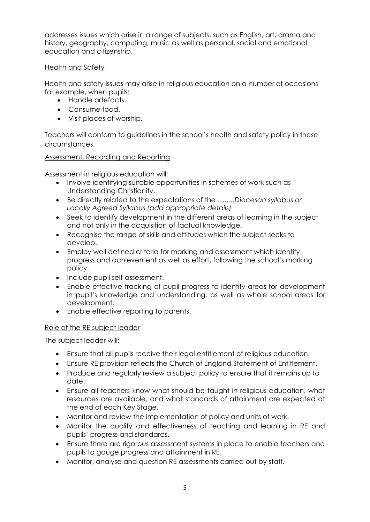addresses issues which arise in a range of subjects, such as English, art, drama and history, geography, computing, music as well as personal, social and emotional education and citizenship.

#### Health and Safety

Health and safety issues may arise in religious education on a number of occasions for example, when pupils:

- Handle artefacts.
- Consume food.
- Visit places of worship.

Teachers will conform to guidelines in the school's health and safety policy in these circumstances.

#### Assessment, Recording and Reporting

Assessment in religious education will:

- Involve identifying suitable opportunities in schemes of work such as Understanding Christianity.
- Be directly related to the expectations of the *……..Diocesan syllabus or Locally Agreed Syllabus (add appropriate details)*
- Seek to identify development in the different areas of learning in the subject and not only in the acquisition of factual knowledge.
- Recognise the range of skills and attitudes which the subject seeks to develop.
- Employ well defined criteria for marking and assessment which identify progress and achievement as well as effort, following the school's marking policy.
- Include pupil self-assessment.
- Enable effective tracking of pupil progress to identify areas for development in pupil's knowledge and understanding, as well as whole school areas for development.
- Enable effective reporting to parents.

#### Role of the RE subject leader

The subject leader will:

- Ensure that all pupils receive their legal entitlement of religious education.
- Ensure RE provision reflects the [Church of England Statement of Entitlement.](/Volumes/REBECCA%20CCO/•https:/www.churchofengland.org/sites/default/files/2019-02/RE%20Statement%20of%20Entitlement%20for%20Church%20Schools.pdf)
- Produce and regularly review a subject policy to ensure that it remains up to date.
- Ensure all teachers know what should be taught in religious education, what resources are available, and what standards of attainment are expected at the end of each Key Stage.
- Monitor and review the implementation of policy and units of work.
- Monitor the quality and effectiveness of teaching and learning in RE and pupils' progress and standards.
- Ensure there are rigorous assessment systems in place to enable teachers and pupils to gauge progress and attainment in RE.
- Monitor, analyse and question RE assessments carried out by staff.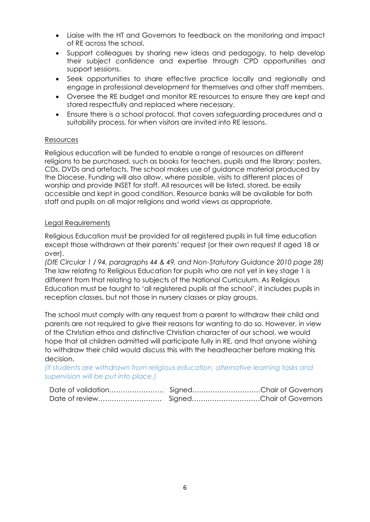- Liaise with the HT and Governors to feedback on the monitoring and impact of RE across the school.
- Support colleagues by sharing new ideas and pedagogy, to help develop their subject confidence and expertise through CPD opportunities and support sessions.
- Seek opportunities to share effective practice locally and regionally and engage in professional development for themselves and other staff members.
- Oversee the RE budget and monitor RE resources to ensure they are kept and stored respectfully and replaced where necessary.
- Ensure there is a school protocol, that covers safeguarding procedures and a suitability process, for when visitors are invited into RE lessons.

#### Resources

Religious education will be funded to enable a range of resources on different religions to be purchased, such as books for teachers, pupils and the library; posters, CDs, DVDs and artefacts. The school makes use of guidance material produced by the Diocese. Funding will also allow, where possible, visits to different places of worship and provide INSET for staff. All resources will be listed, stored, be easily accessible and kept in good condition. Resource banks will be available for both staff and pupils on all major religions and world views as appropriate.

#### Legal Requirements

Religious Education must be provided for all registered pupils in full time education except those withdrawn at their parents' request (or their own request if aged 18 or over).

*(DfE Circular 1 / 94, paragraphs 44 & 49, and Non-Statutory Guidance 2010 page 28)* The law relating to Religious Education for pupils who are not yet in key stage 1 is different from that relating to subjects of the National Curriculum. As Religious Education must be taught to 'all registered pupils at the school', it includes pupils in reception classes, but not those in nursery classes or play groups.

The school must comply with any request from a parent to withdraw their child and parents are not required to give their reasons for wanting to do so. However, in view of the Christian ethos and distinctive Christian character of our school, we would hope that all children admitted will participate fully in RE, and that anyone wishing to withdraw their child would discuss this with the headteacher before making this decision.

*(If students are withdrawn from religious education, alternative learning tasks and supervision will be put into place.)*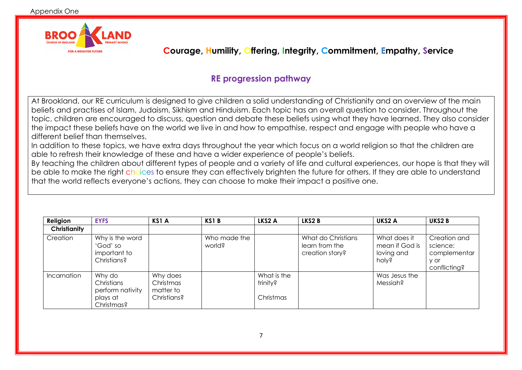

 **Courage, Humility, Offering, Integrity, Commitment, Empathy, Service**

### **RE progression pathway**

At Brookland, our RE curriculum is designed to give children a solid understanding of Christianity and an overview of the main beliefs and practises of Islam, Judaism, Sikhism and Hinduism. Each topic has an overall question to consider. Throughout the topic, children are encouraged to discuss, question and debate these beliefs using what they have learned. They also consider the impact these beliefs have on the world we live in and how to empathise, respect and engage with people who have a different belief than themselves.

In addition to these topics, we have extra days throughout the year which focus on a world religion so that the children are able to refresh their knowledge of these and have a wider experience of people's beliefs.

By teaching the children about different types of people and a variety of life and cultural experiences, our hope is that they will be able to make the right choices to ensure they can effectively brighten the future for others. If they are able to understand that the world reflects everyone's actions, they can choose to make their impact a positive one.

| Religion     | <b>EYFS</b>                                                        | <b>KS1 A</b>                                      | KS1B                   | LKS2 A                               | LKS2 B                                                  | UKS2 A                                                | UKS2B                                                            |
|--------------|--------------------------------------------------------------------|---------------------------------------------------|------------------------|--------------------------------------|---------------------------------------------------------|-------------------------------------------------------|------------------------------------------------------------------|
| Christianity |                                                                    |                                                   |                        |                                      |                                                         |                                                       |                                                                  |
| Creation     | Why is the word<br>'God' so<br>important to<br>Christians?         |                                                   | Who made the<br>world? |                                      | What do Christians<br>learn from the<br>creation story? | What does it<br>mean if God is<br>loving and<br>holy? | Creation and<br>science:<br>complementar<br>y or<br>conflicting? |
| Incarnation  | Why do<br>Christians<br>perform nativity<br>plays at<br>Christmas? | Why does<br>Christmas<br>matter to<br>Christians? |                        | What is the<br>trinity?<br>Christmas |                                                         | Was Jesus the<br>Messiah?                             |                                                                  |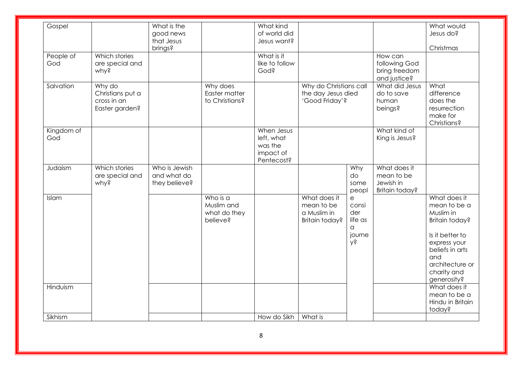| Gospel            |                                                             | What is the<br>good news<br>that Jesus<br>brings? |                                                    | What kind<br>of world did<br>Jesus want?                       |                                                                |                                                   |                                                           | What would<br>Jesus do?<br>Christmas                                                                                                                                      |
|-------------------|-------------------------------------------------------------|---------------------------------------------------|----------------------------------------------------|----------------------------------------------------------------|----------------------------------------------------------------|---------------------------------------------------|-----------------------------------------------------------|---------------------------------------------------------------------------------------------------------------------------------------------------------------------------|
| People of<br>God  | Which stories<br>are special and<br>why?                    |                                                   |                                                    | What is it<br>like to follow<br>God?                           |                                                                |                                                   | How can<br>following God<br>bring freedom<br>and justice? |                                                                                                                                                                           |
| Salvation         | Why do<br>Christians put a<br>cross in an<br>Easter garden? |                                                   | Why does<br>Easter matter<br>to Christians?        |                                                                | Why do Christians call<br>the day Jesus died<br>'Good Friday'? |                                                   | What did Jesus<br>do to save<br>human<br>beings?          | What<br>difference<br>does the<br>resurrection<br>make for<br>Christians?                                                                                                 |
| Kingdom of<br>God |                                                             |                                                   |                                                    | When Jesus<br>left, what<br>was the<br>impact of<br>Pentecost? |                                                                |                                                   | What kind of<br>King is Jesus?                            |                                                                                                                                                                           |
| Judaism           | Which stories<br>are special and<br>why?                    | Who is Jewish<br>and what do<br>they believe?     |                                                    |                                                                |                                                                | Why<br>do<br>some<br>peopl                        | What does it<br>mean to be<br>Jewish in<br>Britain today? |                                                                                                                                                                           |
| Islam             |                                                             |                                                   | Who is a<br>Muslim and<br>what do they<br>believe? |                                                                | What does it<br>mean to be<br>a Muslim in<br>Britain today?    | e<br>consi<br>der<br>life as<br>a<br>journe<br>λś |                                                           | What does it<br>mean to be a<br>Muslim in<br>Britain today?<br>Is it better to<br>express your<br>beliefs in arts<br>and<br>architecture or<br>charity and<br>generosity? |
| Hinduism          |                                                             |                                                   |                                                    |                                                                |                                                                |                                                   |                                                           | What does it<br>mean to be a<br>Hindu in Britain<br>today?                                                                                                                |
| Sikhism           |                                                             |                                                   |                                                    | How do Sikh                                                    | What is                                                        |                                                   |                                                           |                                                                                                                                                                           |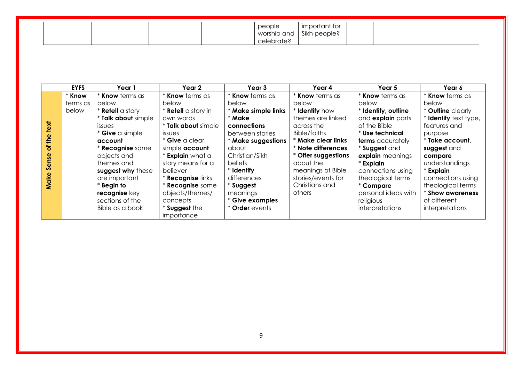| people<br>worship and<br>celebrate? | important tor<br>Sikh people? |
|-------------------------------------|-------------------------------|
|-------------------------------------|-------------------------------|

|               | <b>EYFS</b> | Year 1                  | Year 2                     | Year 3                 | Year 4                   | Year 5                   | Year 6                |
|---------------|-------------|-------------------------|----------------------------|------------------------|--------------------------|--------------------------|-----------------------|
|               | * Know      | <b>* Know</b> terms as  | Know terms as              | <b>* Know</b> terms as | <b>* Know</b> terms as   | <b>* Know</b> terms as   | * Know terms as       |
|               | terms as    | below                   | below                      | below                  | below                    | below                    | below                 |
|               | below       | * <b>Retell</b> a story | * <b>Retell</b> a story in | * Make simple links    | * Identify how           | * Identify, outline      | * Outline clearly     |
|               |             | * Talk about simple     | own words                  | * Make                 | themes are linked        | and <b>explain</b> parts | * Identify text type, |
| text          |             | <i>issues</i>           | * Talk about simple        | connections            | across the               | of the Bible             | features and          |
|               |             | * Give a simple         | <i>issues</i>              | between stories        | Bible/faiths             | * Use technical          | purpose               |
| the           |             | account                 | $*$ Give a clear,          | * Make suggestions     | * Make clear links       | <b>terms</b> accurately  | * Take account,       |
| ৳             |             | * Recognise some        | simple account             | about                  | * Note differences       | * Suggest and            | suggest and           |
| $\frac{0}{5}$ |             | objects and             | * Explain what a           | Christian/Sikh         | <b>Offer suggestions</b> | explain meanings         | compare               |
| Sens          |             | themes and              | story means for a          | <b>beliefs</b>         | about the                | * Explain                | understandings        |
|               |             | suggest why these       | believer                   | * Identify             | meanings of Bible        | connections using        | * Explain             |
|               |             | are important           | <b>* Recognise links</b>   | differences            | stories/events for       | theological terms        | connections using     |
| Make          |             | $*$ Begin to            | <b>Recognise</b> some      | * Suggest              | Christians and           | * Compare                | theological terms     |
|               |             | recognise key           | objects/themes/            | meanings               | others                   | personal ideas with      | * Show awareness      |
|               |             | sections of the         | concepts                   | * Give examples        |                          | religious                | of different          |
|               |             | Bible as a book         | * Suggest the              | * Order events         |                          | interpretations          | interpretations       |
|               |             |                         | importance                 |                        |                          |                          |                       |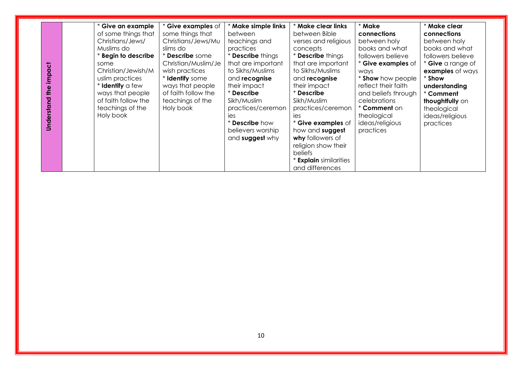| religion show their<br>beliefs<br>* Explain similarities | impact<br>$\frac{1}{2}$<br>Understand | * Give an example<br>of some things that<br>Christians/Jews/<br>Muslims do<br>* Begin to describe<br>some<br>Christian/Jewish/M<br>uslim practices<br>* Identify a few<br>ways that people<br>of faith follow the<br>teachings of the<br>Holy book | * Give examples of<br>some things that<br>Christians/Jews/Mu<br>slims do<br>* <b>Describe</b> some<br>Christian/Muslim/Je<br>wish practices<br>* Identify some<br>ways that people<br>of faith follow the<br>teachings of the<br>Holy book | * Make simple links<br>between<br>teachings and<br>practices<br>* <b>Describe</b> things<br>that are important<br>to Sikhs/Muslims<br>and recognise<br>their impact<br>* Describe<br>Sikh/Muslim<br>practices/ceremon<br>ies<br>* Describe how<br>believers worship<br>and suggest why | * Make clear links<br>between Bible<br>verses and religious<br>concepts<br>* <b>Describe</b> things<br>that are important<br>to Sikhs/Muslims<br>and recognise<br>their impact<br>* Describe<br>Sikh/Muslim<br>practices/ceremon<br>ies<br>* Give examples of<br>how and suggest<br>why followers of | * Make<br>connections<br>between holy<br>books and what<br>followers believe<br>* Give examples of<br>ways<br>* Show how people<br>reflect their faith<br>and beliefs through<br>celebrations<br>* <b>Comment</b> on<br>theological<br>ideas/religious<br>practices | * Make clear<br>connections<br>between holy<br>books and what<br>followers believe<br>* Give a range of<br>examples of ways<br>* Show<br>understanding<br>* Comment<br>thoughtfully on<br>theological<br>ideas/religious<br>practices |
|----------------------------------------------------------|---------------------------------------|----------------------------------------------------------------------------------------------------------------------------------------------------------------------------------------------------------------------------------------------------|--------------------------------------------------------------------------------------------------------------------------------------------------------------------------------------------------------------------------------------------|----------------------------------------------------------------------------------------------------------------------------------------------------------------------------------------------------------------------------------------------------------------------------------------|------------------------------------------------------------------------------------------------------------------------------------------------------------------------------------------------------------------------------------------------------------------------------------------------------|---------------------------------------------------------------------------------------------------------------------------------------------------------------------------------------------------------------------------------------------------------------------|---------------------------------------------------------------------------------------------------------------------------------------------------------------------------------------------------------------------------------------|
|----------------------------------------------------------|---------------------------------------|----------------------------------------------------------------------------------------------------------------------------------------------------------------------------------------------------------------------------------------------------|--------------------------------------------------------------------------------------------------------------------------------------------------------------------------------------------------------------------------------------------|----------------------------------------------------------------------------------------------------------------------------------------------------------------------------------------------------------------------------------------------------------------------------------------|------------------------------------------------------------------------------------------------------------------------------------------------------------------------------------------------------------------------------------------------------------------------------------------------------|---------------------------------------------------------------------------------------------------------------------------------------------------------------------------------------------------------------------------------------------------------------------|---------------------------------------------------------------------------------------------------------------------------------------------------------------------------------------------------------------------------------------|